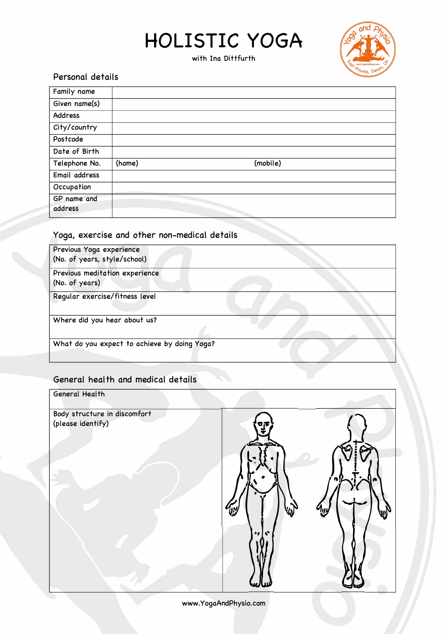## **HOLISTIC YOGA**

with Ina Dittfurth



#### Personal details

| Family name            |        |          |  |
|------------------------|--------|----------|--|
| Given name(s)          |        |          |  |
| <b>Address</b>         |        |          |  |
| City/country           |        |          |  |
| Postcode               |        |          |  |
| Date of Birth          |        |          |  |
| Telephone No.          | (home) | (mobile) |  |
| Email address          |        |          |  |
| Occupation             |        |          |  |
| GP name and<br>address |        |          |  |

#### Yoga, exercise and other non-medical details

| Previous Yoga experience<br>(No. of years, style/school) |  |
|----------------------------------------------------------|--|
| Previous meditation experience<br>(No. of years)         |  |
| Regular exercise/fitness level                           |  |
| Where did you hear about us?                             |  |
| What do you expect to achieve by doing Yoga?             |  |

### General heal th and medical details

| General Health                                    |                                     |  |
|---------------------------------------------------|-------------------------------------|--|
| Body structure in discomfort<br>(please identify) | 07<br>$\mathbf{C}$<br>$\rightarrow$ |  |